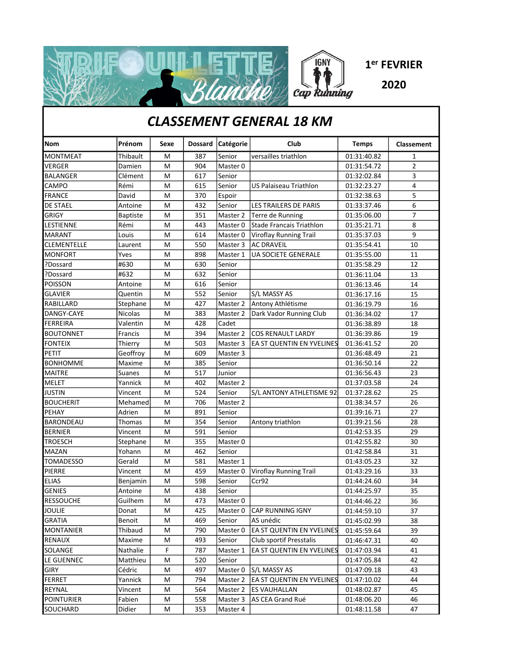

## CLASSEMENT GENERAL 18 KM

| <b>Nom</b>         | Prénom          | Sexe | <b>Dossard</b> | Catégorie | Club                       | <b>Temps</b> | Classement     |
|--------------------|-----------------|------|----------------|-----------|----------------------------|--------------|----------------|
| <b>MONTMEAT</b>    | Thibault        | M    | 387            | Senior    | versailles triathlon       | 01:31:40.82  | 1              |
| <b>VERGER</b>      | Damien          | M    | 904            | Master 0  |                            | 01:31:54.72  | 2              |
| <b>BALANGER</b>    | Clément         | M    | 617            | Senior    |                            | 01:32:02.84  | 3              |
| <b>CAMPO</b>       | Rémi            | M    | 615            | Senior    | US Palaiseau Triathlon     | 01:32:23.27  | 4              |
| <b>FRANCE</b>      | David           | M    | 370            | Espoir    |                            | 01:32:38.63  | 5              |
| <b>DE STAEL</b>    | Antoine         | M    | 432            | Senior    | LES TRAILERS DE PARIS      | 01:33:37.46  | $\overline{6}$ |
| GRIGY              | <b>Baptiste</b> | M    | 351            | Master 2  | Terre de Running           | 01:35:06.00  | 7              |
| <b>LESTIENNE</b>   | Rémi            | M    | 443            | Master 0  | Stade Francais Triathlon   | 01:35:21.71  | 8              |
| <b>MARANT</b>      | Louis           | M    | 614            | Master 0  | Viroflay Running Trail     | 01:35:37.03  | 9              |
| <b>CLEMENTELLE</b> | Laurent         | M    | 550            | Master 3  | <b>AC DRAVEIL</b>          | 01:35:54.41  | 10             |
| <b>MONFORT</b>     | Yves            | M    | 898            | Master 1  | <b>UA SOCIETE GENERALE</b> | 01:35:55.00  | 11             |
| ?Dossard           | #630            | M    | 630            | Senior    |                            | 01:35:58.29  | 12             |
| ?Dossard           | #632            | M    | 632            | Senior    |                            | 01:36:11.04  | 13             |
| <b>POISSON</b>     | Antoine         | M    | 616            | Senior    |                            | 01:36:13.46  | 14             |
| <b>GLAVIER</b>     | Quentin         | M    | 552            | Senior    | S/L MASSY AS               | 01:36:17.16  | 15             |
| RABILLARD          | Stephane        | M    | 427            | Master 2  | Antony Athlétisme          | 01:36:19.79  | 16             |
| DANGY-CAYE         | <b>Nicolas</b>  | M    | 383            | Master 2  | Dark Vador Running Club    | 01:36:34.02  | 17             |
| FERREIRA           | Valentin        | M    | 428            | Cadet     |                            | 01:36:38.89  | 18             |
| <b>BOUTONNET</b>   | Francis         | M    | 394            | Master 2  | <b>COS RENAULT LARDY</b>   | 01:36:39.86  | 19             |
| <b>FONTEIX</b>     | Thierry         | M    | 503            | Master 3  | EA ST QUENTIN EN YVELINES  | 01:36:41.52  | 20             |
| <b>PETIT</b>       | Geoffroy        | M    | 609            | Master 3  |                            | 01:36:48.49  | 21             |
| <b>BONHOMME</b>    | Maxime          | M    | 385            | Senior    |                            | 01:36:50.14  | 22             |
| <b>MAITRE</b>      | <b>Suanes</b>   | M    | 517            | Junior    |                            | 01:36:56.43  | 23             |
| <b>MELET</b>       | Yannick         | M    | 402            | Master 2  |                            | 01:37:03.58  | 24             |
| <b>JUSTIN</b>      | Vincent         | M    | 524            | Senior    | S/L ANTONY ATHLETISME 92   | 01:37:28.62  | 25             |
| <b>BOUCHERIT</b>   | Mehamed         | M    | 706            | Master 2  |                            | 01:38:34.57  | 26             |
| PEHAY              | Adrien          | M    | 891            | Senior    |                            | 01:39:16.71  | 27             |
| <b>BARONDEAU</b>   | Thomas          | M    | 354            | Senior    | Antony triathlon           | 01:39:21.56  | 28             |
| <b>BERNIER</b>     | Vincent         | M    | 591            | Senior    |                            | 01:42:53.35  | 29             |
| <b>TROESCH</b>     | Stephane        | M    | 355            | Master 0  |                            | 01:42:55.82  | 30             |
| <b>MAZAN</b>       | Yohann          | M    | 462            | Senior    |                            | 01:42:58.84  | 31             |
| <b>TOMADESSO</b>   | Gerald          | M    | 581            | Master 1  |                            | 01:43:05.23  | 32             |
| PIERRE             | Vincent         | M    | 459            | Master 0  | Viroflay Running Trail     | 01:43:29.16  | 33             |
| <b>ELIAS</b>       | Benjamin        | M    | 598            | Senior    | Ccr92                      | 01:44:24.60  | 34             |
| <b>GENIES</b>      | Antoine         | M    | 438            | Senior    |                            | 01:44:25.97  | 35             |
| <b>RESSOUCHE</b>   | Guilhem         | M    | 473            | Master 0  |                            | 01:44:46.22  | 36             |
| <b>JOULIE</b>      | Donat           | M    | 425            | Master 0  | <b>CAP RUNNING IGNY</b>    | 01:44:59.10  | 37             |
| <b>GRATIA</b>      | Benoit          | M    | 469            | Senior    | AS unédic                  | 01:45:02.99  | 38             |
| <b>MONTANIER</b>   | Thibaud         | M    | 790            | Master 0  | EA ST QUENTIN EN YVELINES  | 01:45:59.64  | 39             |
| RENAUX             | Maxime          | M    | 493            | Senior    | Club sportif Presstalis    | 01:46:47.31  | 40             |
| SOLANGE            | Nathalie        | F    | 787            | Master 1  | EA ST QUENTIN EN YVELINES  | 01:47:03.94  | 41             |
| LE GUENNEC         | Matthieu        | M    | 520            | Senior    |                            | 01:47:05.84  | 42             |
| GIRY               | Cédric          | M    | 497            | Master 0  | S/L MASSY AS               | 01:47:09.18  | 43             |
| FERRET             | Yannick         | M    | 794            | Master 2  | EA ST QUENTIN EN YVELINES  | 01:47:10.02  | 44             |
| REYNAL             | Vincent         | M    | 564            | Master 2  | <b>ES VAUHALLAN</b>        | 01:48:02.87  | 45             |
| <b>POINTURIER</b>  | Fabien          | M    | 558            | Master 3  | AS CEA Grand Rué           | 01:48:06.20  | 46             |
| SOUCHARD           | Didier          | M    | 353            | Master 4  |                            | 01:48:11.58  | 47             |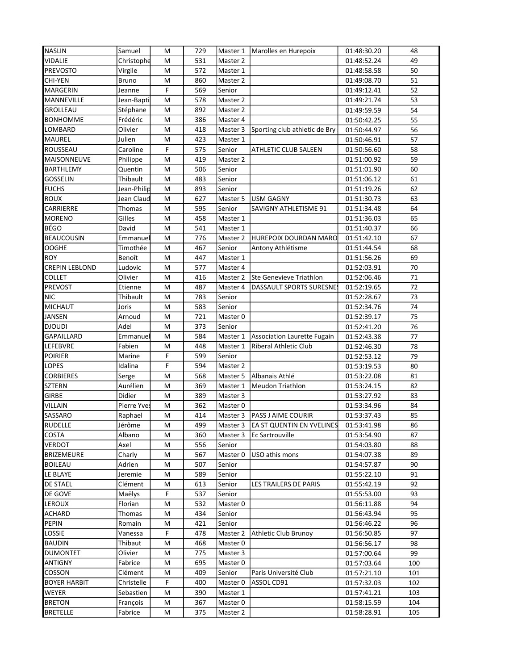| <b>NASLIN</b>         | Samuel       | M | 729 | Master 1 | Marolles en Hurepoix               | 01:48:30.20 | 48  |
|-----------------------|--------------|---|-----|----------|------------------------------------|-------------|-----|
| <b>VIDALIE</b>        | Christophe   | M | 531 | Master 2 |                                    | 01:48:52.24 | 49  |
| <b>PREVOSTO</b>       | Virgile      | M | 572 | Master 1 |                                    | 01:48:58.58 | 50  |
| <b>CHI-YEN</b>        | <b>Bruno</b> | M | 860 | Master 2 |                                    | 01:49:08.70 | 51  |
| <b>MARGERIN</b>       | Jeanne       | F | 569 | Senior   |                                    | 01:49:12.41 | 52  |
| <b>MANNEVILLE</b>     | Jean-Bapti   | M | 578 | Master 2 |                                    | 01:49:21.74 | 53  |
| <b>GROLLEAU</b>       | Stéphane     | M | 892 | Master 2 |                                    | 01:49:59.59 | 54  |
| <b>BONHOMME</b>       | Frédéric     | M | 386 | Master 4 |                                    | 01:50:42.25 | 55  |
| LOMBARD               | Olivier      | M | 418 | Master 3 | Sporting club athletic de Bry      | 01:50:44.97 | 56  |
| <b>MAUREL</b>         | Julien       | M | 423 | Master 1 |                                    | 01:50:46.91 | 57  |
| ROUSSEAU              | Caroline     | F | 575 | Senior   | <b>ATHLETIC CLUB SALEEN</b>        | 01:50:56.60 | 58  |
| <b>MAISONNEUVE</b>    | Philippe     | M | 419 | Master 2 |                                    | 01:51:00.92 | 59  |
| BARTHLEMY             | Quentin      | M | 506 | Senior   |                                    | 01:51:01.90 | 60  |
| <b>GOSSELIN</b>       | Thibault     | M | 483 | Senior   |                                    | 01:51:06.12 | 61  |
| <b>FUCHS</b>          | Jean-Philip  | M | 893 | Senior   |                                    | 01:51:19.26 | 62  |
| <b>ROUX</b>           | Jean Claud   | M | 627 | Master 5 | <b>USM GAGNY</b>                   | 01:51:30.73 | 63  |
| CARRIERRE             | Thomas       | M | 595 | Senior   | SAVIGNY ATHLETISME 91              | 01:51:34.48 | 64  |
| <b>MORENO</b>         | Gilles       | M | 458 | Master 1 |                                    | 01:51:36.03 | 65  |
| <b>BÉGO</b>           | David        | M | 541 | Master 1 |                                    | 01:51:40.37 | 66  |
| <b>BEAUCOUSIN</b>     | Emmanuel     | M | 776 | Master 2 | HUREPOIX DOURDAN MARO              | 01:51:42.10 | 67  |
| <b>OOGHE</b>          | Timothée     | M | 467 | Senior   | Antony Athlétisme                  | 01:51:44.54 | 68  |
| <b>ROY</b>            | Benoît       | M | 447 | Master 1 |                                    | 01:51:56.26 | 69  |
| <b>CREPIN LEBLOND</b> | Ludovic      | M | 577 | Master 4 |                                    | 01:52:03.91 | 70  |
| COLLET                | Olivier      | M | 416 | Master 2 | Ste Genevieve Triathlon            | 01:52:06.46 | 71  |
| PREVOST               | Etienne      | M | 487 | Master 4 | DASSAULT SPORTS SURESNE            | 01:52:19.65 | 72  |
| <b>NIC</b>            | Thibault     | M | 783 | Senior   |                                    | 01:52:28.67 | 73  |
| <b>MICHAUT</b>        | Joris        | M | 583 | Senior   |                                    | 01:52:34.76 | 74  |
| <b>JANSEN</b>         | Arnoud       | M | 721 | Master 0 |                                    | 01:52:39.17 | 75  |
| <b>DJOUDI</b>         | Adel         | M | 373 | Senior   |                                    | 01:52:41.20 | 76  |
| GAPAILLARD            | Emmanuel     | M | 584 | Master 1 | Association Laurette Fugain        | 01:52:43.38 | 77  |
| LEFEBVRE              | Fabien       | M | 448 | Master 1 | <b>Riberal Athletic Club</b>       | 01:52:46.30 | 78  |
| <b>POIRIER</b>        | Marine       | F | 599 | Senior   |                                    | 01:52:53.12 | 79  |
| LOPES                 | Idalina      | F | 594 | Master 2 |                                    | 01:53:19.53 | 80  |
| <b>CORBIERES</b>      | Serge        | M | 568 | Master 5 | Albanais Athlé                     | 01:53:22.08 | 81  |
| <b>SZTERN</b>         | Aurélien     | M | 369 | Master 1 | <b>Meudon Triathlon</b>            | 01:53:24.15 | 82  |
| <b>GIRBE</b>          | Didier       | M | 389 | Master 3 |                                    | 01:53:27.92 | 83  |
| <b>VILLAIN</b>        | Pierre Yves  | M | 362 | Master 0 |                                    | 01:53:34.96 | 84  |
| SASSARO               | Raphael      | M | 414 | Master 3 | <b>PASS J AIME COURIR</b>          | 01:53:37.43 | 85  |
| <b>RUDELLE</b>        | Jérôme       | M | 499 |          | Master 3 EA ST QUENTIN EN YVELINES | 01:53:41.98 | 86  |
| COSTA                 | Albano       | М | 360 | Master 3 | Ec Sartrouville                    | 01:53:54.90 | 87  |
| <b>VERDOT</b>         | Axel         | м | 556 | Senior   |                                    | 01:54:03.80 | 88  |
| <b>BRIZEMEURE</b>     | Charly       | м | 567 | Master 0 | USO athis mons                     | 01:54:07.38 | 89  |
| <b>BOILEAU</b>        | Adrien       | м | 507 | Senior   |                                    | 01:54:57.87 | 90  |
| LE BLAYE              | Jeremie      | м | 589 | Senior   |                                    | 01:55:22.10 | 91  |
| DE STAEL              | Clément      | м | 613 | Senior   | LES TRAILERS DE PARIS              | 01:55:42.19 | 92  |
| DE GOVE               | Maëlys       | F | 537 | Senior   |                                    | 01:55:53.00 | 93  |
| LEROUX                | Florian      | м | 532 | Master 0 |                                    | 01:56:11.88 | 94  |
| <b>ACHARD</b>         | Thomas       | м | 434 | Senior   |                                    | 01:56:43.94 | 95  |
| PEPIN                 | Romain       | м | 421 | Senior   |                                    | 01:56:46.22 | 96  |
| LOSSIE                | Vanessa      | F | 478 | Master 2 | <b>Athletic Club Brunoy</b>        | 01:56:50.85 | 97  |
| <b>BAUDIN</b>         | Thibaut      | м | 468 | Master 0 |                                    | 01:56:56.17 | 98  |
| <b>DUMONTET</b>       | Olivier      | м | 775 | Master 3 |                                    | 01:57:00.64 | 99  |
| <b>ANTIGNY</b>        | Fabrice      | M | 695 | Master 0 |                                    | 01:57:03.64 | 100 |
| COSSON                | Clément      | М | 409 | Senior   | Paris Université Club              | 01:57:21.10 | 101 |
| <b>BOYER HARBIT</b>   | Christelle   | F | 400 | Master 0 | ASSOL CD91                         | 01:57:32.03 | 102 |
| WEYER                 | Sebastien    | M | 390 | Master 1 |                                    | 01:57:41.21 | 103 |
| <b>BRETON</b>         | François     | м | 367 | Master 0 |                                    | 01:58:15.59 | 104 |
| <b>BRETELLE</b>       | Fabrice      | м | 375 | Master 2 |                                    | 01:58:28.91 | 105 |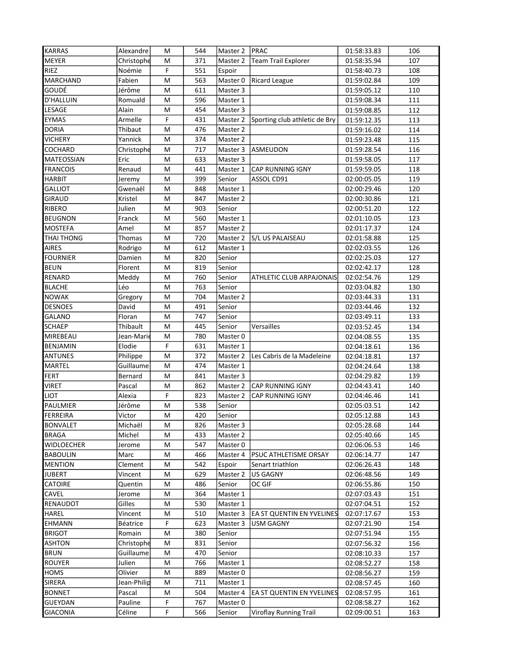| <b>KARRAS</b>     | Alexandre   | M | 544 | Master 2 | PRAC                          | 01:58:33.83 | 106 |
|-------------------|-------------|---|-----|----------|-------------------------------|-------------|-----|
| <b>MEYER</b>      | Christophe  | M | 371 | Master 2 | <b>Team Trail Explorer</b>    | 01:58:35.94 | 107 |
| <b>RIEZ</b>       | Noémie      | F | 551 | Espoir   |                               | 01:58:40.73 | 108 |
| MARCHAND          | Fabien      | M | 563 | Master 0 | <b>Ricard League</b>          | 01:59:02.84 | 109 |
| GOUDÉ             | Jérôme      | M | 611 | Master 3 |                               | 01:59:05.12 | 110 |
| <b>D'HALLUIN</b>  | Romuald     | M | 596 | Master 1 |                               | 01:59:08.34 | 111 |
| LESAGE            | Alain       | M | 454 | Master 3 |                               | 01:59:08.85 | 112 |
| <b>EYMAS</b>      | Armelle     | F | 431 | Master 2 | Sporting club athletic de Bry | 01:59:12.35 | 113 |
| <b>DORIA</b>      | Thibaut     | M | 476 | Master 2 |                               | 01:59:16.02 | 114 |
| <b>VICHERY</b>    | Yannick     | M | 374 | Master 2 |                               | 01:59:23.48 | 115 |
| COCHARD           | Christophe  | M | 717 | Master 3 | ASMEUDON                      | 01:59:28.54 | 116 |
| <b>MATEOSSIAN</b> | Eric        | M | 633 | Master 3 |                               | 01:59:58.05 | 117 |
| <b>FRANCOIS</b>   | Renaud      | M | 441 | Master 1 | <b>CAP RUNNING IGNY</b>       | 01:59:59.05 | 118 |
| <b>HARBIT</b>     | Jeremy      | M | 399 | Senior   | ASSOL CD91                    | 02:00:05.05 | 119 |
| <b>GALLIOT</b>    | Gwenaël     | M | 848 | Master 1 |                               | 02:00:29.46 | 120 |
| <b>GIRAUD</b>     | Kristel     | M | 847 | Master 2 |                               | 02:00:30.86 | 121 |
| RIBERO            | Julien      | M | 903 | Senior   |                               | 02:00:51.20 | 122 |
| <b>BEUGNON</b>    | Franck      | M | 560 | Master 1 |                               | 02:01:10.05 | 123 |
| <b>MOSTEFA</b>    | Amel        | M | 857 | Master 2 |                               | 02:01:17.37 | 124 |
| THAI THONG        | Thomas      | M | 720 | Master 2 | S/LUS PALAISEAU               | 02:01:58.88 | 125 |
| AIRES             | Rodrigo     | M | 612 | Master 1 |                               | 02:02:03.55 | 126 |
| <b>FOURNIER</b>   | Damien      | M | 820 | Senior   |                               | 02:02:25.03 | 127 |
| <b>BEUN</b>       | Florent     | M | 819 | Senior   |                               | 02:02:42.17 | 128 |
| <b>RENARD</b>     | Meddy       | M | 760 | Senior   | ATHLETIC CLUB ARPAJONAIS      | 02:02:54.76 | 129 |
| <b>BLACHE</b>     | Léo         | M | 763 | Senior   |                               | 02:03:04.82 | 130 |
| <b>NOWAK</b>      | Gregory     | M | 704 | Master 2 |                               | 02:03:44.33 | 131 |
| <b>DESNOES</b>    | David       | M | 491 | Senior   |                               | 02:03:44.46 | 132 |
| GALANO            | Floran      | M | 747 | Senior   |                               | 02:03:49.11 | 133 |
| <b>SCHAEP</b>     | Thibault    | M | 445 | Senior   | Versailles                    | 02:03:52.45 | 134 |
| MIREBEAU          | Jean-Marie  | M | 780 | Master 0 |                               | 02:04:08.55 | 135 |
| BENJAMIN          | Elodie      | F | 631 | Master 1 |                               | 02:04:18.61 | 136 |
| <b>ANTUNES</b>    | Philippe    | M | 372 | Master 2 | Les Cabris de la Madeleine    | 02:04:18.81 | 137 |
| MARTEL            | Guillaume   | M | 474 | Master 1 |                               | 02:04:24.64 | 138 |
| FERT              | Bernard     | M | 841 | Master 3 |                               | 02:04:29.82 | 139 |
| <b>VIRET</b>      | Pascal      | M | 862 | Master 2 | <b>CAP RUNNING IGNY</b>       | 02:04:43.41 | 140 |
| <b>LIOT</b>       | Alexia      | F | 823 | Master 2 | CAP RUNNING IGNY              | 02:04:46.46 | 141 |
| PAULMIER          | Jérôme      | M | 538 | Senior   |                               | 02:05:03.51 | 142 |
| <b>FERREIRA</b>   | Victor      | M | 420 | Senior   |                               | 02:05:12.88 | 143 |
| <b>BONVALET</b>   | Michaël     | M | 826 | Master 3 |                               | 02:05:28.68 | 144 |
| <b>BRAGA</b>      | Michel      | м | 433 | Master 2 |                               | 02:05:40.66 | 145 |
| WIDLOECHER        | Jerome      | M | 547 | Master 0 |                               | 02:06:06.53 | 146 |
| <b>BABOULIN</b>   | Marc        | M | 466 | Master 4 | PSUC ATHLETISME ORSAY         | 02:06:14.77 | 147 |
| <b>MENTION</b>    | Clement     | M | 542 | Espoir   | Senart triathlon              | 02:06:26.43 | 148 |
| <b>JUBERT</b>     | Vincent     | м | 629 | Master 2 | <b>US GAGNY</b>               | 02:06:48.56 | 149 |
| <b>CATOIRE</b>    | Quentin     | м | 486 | Senior   | OC GIF                        | 02:06:55.86 | 150 |
| CAVEL             | Jerome      | M | 364 | Master 1 |                               | 02:07:03.43 | 151 |
| RENAUDOT          | Gilles      | м | 530 | Master 1 |                               | 02:07:04.51 | 152 |
| HAREL             | Vincent     | M | 510 | Master 3 | EA ST QUENTIN EN YVELINES     | 02:07:17.67 | 153 |
| <b>EHMANN</b>     | Béatrice    | F | 623 | Master 3 | USM GAGNY                     | 02:07:21.90 | 154 |
| <b>BRIGOT</b>     | Romain      | M | 380 | Senior   |                               | 02:07:51.94 | 155 |
| <b>ASHTON</b>     | Christophe  | M | 831 | Senior   |                               | 02:07:56.32 | 156 |
| <b>BRUN</b>       | Guillaume   | м | 470 | Senior   |                               | 02:08:10.33 | 157 |
| <b>ROUYER</b>     | Julien      | M | 766 | Master 1 |                               | 02:08:52.27 | 158 |
| <b>HOMS</b>       | Olivier     | M | 889 | Master 0 |                               | 02:08:56.27 | 159 |
| <b>SIRERA</b>     | Jean-Philip | м | 711 | Master 1 |                               | 02:08:57.45 | 160 |
| <b>BONNET</b>     | Pascal      | M | 504 | Master 4 | EA ST QUENTIN EN YVELINES     | 02:08:57.95 | 161 |
| <b>GUEYDAN</b>    | Pauline     | F | 767 | Master 0 |                               | 02:08:58.27 | 162 |
| <b>GIACONIA</b>   | Céline      | F | 566 | Senior   | Viroflay Running Trail        | 02:09:00.51 | 163 |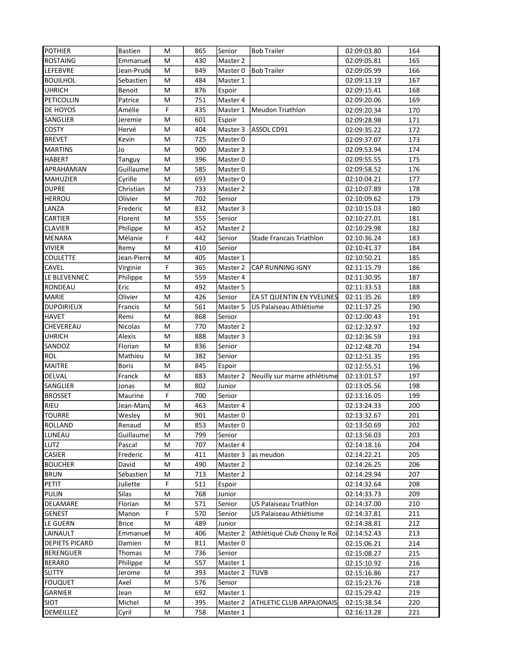| <b>POTHIER</b>        | <b>Bastien</b> | м         | 865 | Senior   | <b>Bob Trailer</b>              | 02:09:03.80 | 164 |
|-----------------------|----------------|-----------|-----|----------|---------------------------------|-------------|-----|
| <b>ROSTAING</b>       | Emmanuel       | М         | 430 | Master 2 |                                 | 02:09:05.81 | 165 |
| LEFEBVRE              | Jean-Prude     | M         | 849 | Master 0 | <b>Bob Trailer</b>              | 02:09:05.99 | 166 |
| <b>BOUILHOL</b>       | Sebastien      | M         | 484 | Master 1 |                                 | 02:09:13.19 | 167 |
| <b>UHRICH</b>         | Benoit         | M         | 876 | Espoir   |                                 | 02:09:15.41 | 168 |
| PETICOLLIN            | Patrice        | M         | 751 | Master 4 |                                 | 02:09:20.06 | 169 |
| DE HOYOS              | Amélie         | F         | 435 | Master 1 | Meudon Triathlon                | 02:09:20.34 | 170 |
| SANGLIER              | Jeremie        | M         | 601 | Espoir   |                                 | 02:09:28.98 | 171 |
| <b>COSTY</b>          | Hervé          | M         | 404 | Master 3 | ASSOL CD91                      | 02:09:35.22 | 172 |
| <b>BREVET</b>         | Kevin          | M         | 725 | Master 0 |                                 | 02:09:37.07 | 173 |
| <b>MARTINS</b>        | Jo             | M         | 900 | Master 3 |                                 | 02:09:53.94 | 174 |
| <b>HABERT</b>         | Tanguy         | M         | 396 | Master 0 |                                 | 02:09:55.55 | 175 |
| APRAHAMIAN            | Guillaume      | M         | 585 | Master 0 |                                 | 02:09:58.52 | 176 |
| MAHUZIER              | Cyrille        | М         | 693 | Master 0 |                                 | 02:10:04.21 | 177 |
| <b>DUPRE</b>          | Christian      | M         | 733 | Master 2 |                                 | 02:10:07.89 | 178 |
| HERROU                | Olivier        | м         | 702 | Senior   |                                 | 02:10:09.62 | 179 |
| LANZA                 | Frederic       | M         | 832 | Master 3 |                                 | 02:10:15.03 | 180 |
| CARTIER               | Florent        | M         | 555 | Senior   |                                 | 02:10:27.01 | 181 |
| <b>CLAVIER</b>        | Philippe       | M         | 452 | Master 2 |                                 | 02:10:29.98 | 182 |
| MENARA                | Mélanie        | F         | 442 | Senior   | <b>Stade Francais Triathlon</b> | 02:10:36.24 | 183 |
| <b>VIVIER</b>         | Remy           | M         | 410 | Senior   |                                 | 02:10:41.37 | 184 |
| <b>COULETTE</b>       | Jean-Pierre    | M         | 405 | Master 1 |                                 | 02:10:50.21 | 185 |
| CAVEL                 | Virginie       | F         | 365 | Master 2 | CAP RUNNING IGNY                | 02:11:15.79 | 186 |
| LE BLEVENNEC          | Philippe       | M         | 559 | Master 4 |                                 | 02:11:30.95 | 187 |
| RONDEAU               | Eric           | M         | 492 | Master 5 |                                 | 02:11:33.53 | 188 |
| MARIE                 | Olivier        | M         | 426 | Senior   | EA ST QUENTIN EN YVELINES       | 02:11:35.26 | 189 |
| <b>DUPOIRIEUX</b>     | Francis        | М         | 561 | Master 5 | US Palaiseau Athlétisme         | 02:11:37.25 | 190 |
| <b>HAVET</b>          | Remi           | M         | 868 | Senior   |                                 | 02:12:00.43 | 191 |
| CHEVEREAU             | Nicolas        | M         | 770 | Master 2 |                                 | 02:12:32.97 | 192 |
| <b>UHRICH</b>         | Alexis         | М         | 888 | Master 3 |                                 | 02:12:36.59 | 193 |
| SANDOZ                | Florian        | M         | 836 | Senior   |                                 | 02:12:48.70 | 194 |
| ROL                   | Mathieu        | M         | 382 | Senior   |                                 | 02:12:51.35 | 195 |
| <b>MAITRE</b>         | <b>Boris</b>   | м         | 845 | Espoir   |                                 | 02:12:55.51 | 196 |
| DELVAL                | Franck         | м         | 883 | Master 2 | Neuilly sur marne athlétisme    | 02:13:01.57 | 197 |
| SANGLIER              | Jonas          | M         | 802 | Junior   |                                 | 02:13:05.56 | 198 |
| <b>BROSSET</b>        | Maurine        | F         | 700 | Senior   |                                 | 02:13:16.05 | 199 |
| RIEU                  | Jean-Manu      | M         | 463 | Master 4 |                                 | 02:13:24.33 | 200 |
| <b>TOURRE</b>         | Wesley         | M         | 901 | Master 0 |                                 | 02:13:32.67 | 201 |
| <b>ROLLAND</b>        | Renaud         | ${\sf M}$ | 853 | Master 0 |                                 | 02:13:50.69 | 202 |
| LUNEAU                | Guillaume      | М         | 799 | Senior   |                                 | 02:13:56.03 | 203 |
| LUTZ                  | Pascal         | м         | 707 | Master 4 |                                 | 02:14:18.16 | 204 |
| CASIER                | Frederic       | м         | 411 | Master 3 | as meudon                       | 02:14:22.21 | 205 |
| <b>BOUCHER</b>        | David          | M         | 490 | Master 2 |                                 | 02:14:26.25 | 206 |
| <b>BRUN</b>           | Sébastien      | м         | 713 | Master 2 |                                 | 02:14:29.94 | 207 |
| PETIT                 | Juliette       | F         | 511 | Espoir   |                                 | 02:14:32.64 | 208 |
| PULIN                 | Silas          | М         | 768 | Junior   |                                 | 02:14:33.73 | 209 |
| DELAMARE              | Florian        | м         | 571 | Senior   | US Palaiseau Triathlon          | 02:14:37.00 | 210 |
| <b>GENEST</b>         | Manon          | F         | 570 | Senior   | US Palaiseau Athlétisme         | 02:14:37.81 | 211 |
| LE GUERN              | <b>Brice</b>   | м         | 489 | Junior   |                                 | 02:14:38.81 | 212 |
| LAINAULT              | Emmanuel       | M         | 406 | Master 2 | Athlétique Club Choisy le Roi   | 02:14:52.43 | 213 |
| <b>DEPIETS PICARD</b> | Damien         | м         | 811 | Master 0 |                                 | 02:15:06.21 | 214 |
| <b>BERENGUER</b>      | Thomas         | M         | 736 | Senior   |                                 | 02:15:08.27 | 215 |
| <b>BERARD</b>         | Philippe       | M         | 557 | Master 1 |                                 | 02:15:10.92 | 216 |
| <b>SUTTY</b>          | Jerome         | M         | 393 | Master 2 | <b>TUVB</b>                     | 02:15:16.86 | 217 |
| <b>FOUQUET</b>        | Axel           | м         | 576 | Senior   |                                 | 02:15:23.76 | 218 |
| <b>GARNIER</b>        | Jean           | M         | 692 | Master 1 |                                 | 02:15:29.42 | 219 |
| SIOT                  | Michel         | M         | 395 | Master 2 | ATHLETIC CLUB ARPAJONAIS        | 02:15:38.54 | 220 |
| DEMEILLEZ             | Cyril          | м         | 758 | Master 1 |                                 | 02:16:13.28 | 221 |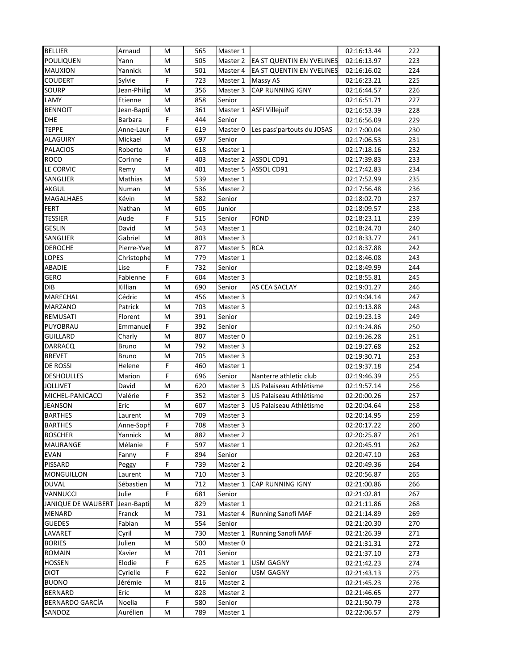| <b>BELLIER</b>                    | Arnaud                 | M      | 565        | Master 1             |                                  | 02:16:13.44                | 222        |
|-----------------------------------|------------------------|--------|------------|----------------------|----------------------------------|----------------------------|------------|
| POULIQUEN                         | Yann                   | M      | 505        | Master 2             | <b>EA ST QUENTIN EN YVELINES</b> | 02:16:13.97                | 223        |
| <b>MAUXION</b>                    | Yannick                | M      | 501        | Master 4             | EA ST QUENTIN EN YVELINES        | 02:16:16.02                | 224        |
| <b>COUDERT</b>                    | Sylvie                 | F      | 723        | Master 1             | Massy AS                         | 02:16:23.21                | 225        |
| <b>SOURP</b>                      | Jean-Philip            | M      | 356        | Master 3             | CAP RUNNING IGNY                 | 02:16:44.57                | 226        |
| LAMY                              | Etienne                | М      | 858        | Senior               |                                  | 02:16:51.71                | 227        |
| <b>BENNOIT</b>                    | Jean-Bapti             | M      | 361        | Master 1             | <b>ASFI Villejuif</b>            | 02:16:53.39                | 228        |
| <b>DHE</b>                        | Barbara                | F      | 444        | Senior               |                                  | 02:16:56.09                | 229        |
| <b>TEPPE</b>                      | Anne-Laur              | F      | 619        | Master 0             | Les pass'partouts du JOSAS       | 02:17:00.04                | 230        |
| <b>ALAGUIRY</b>                   | Mickael                | M      | 697        | Senior               |                                  | 02:17:06.53                | 231        |
| <b>PALACIOS</b>                   | Roberto                | M      | 618        | Master 1             |                                  | 02:17:18.16                | 232        |
| <b>ROCO</b>                       | Corinne                | F      | 403        | Master 2             | ASSOL CD91                       | 02:17:39.83                | 233        |
| LE CORVIC                         | Remy                   | M      | 401        | Master 5             | ASSOL CD91                       | 02:17:42.83                | 234        |
| SANGLIER                          | Mathias                | M      | 539        | Master 1             |                                  | 02:17:52.99                | 235        |
| AKGUL                             | Numan                  | м      | 536        | Master 2             |                                  | 02:17:56.48                | 236        |
| MAGALHAES                         | Kévin                  | M      | 582        | Senior               |                                  | 02:18:02.70                | 237        |
| <b>FERT</b>                       | Nathan                 | M      | 605        | Junior               |                                  | 02:18:09.57                | 238        |
| <b>TESSIER</b>                    | Aude                   | F      | 515        | Senior               | <b>FOND</b>                      | 02:18:23.11                | 239        |
| <b>GESLIN</b>                     | David                  | м      | 543        | Master 1             |                                  | 02:18:24.70                | 240        |
| SANGLIER                          | Gabriel                | M      | 803        | Master 3             |                                  | 02:18:33.77                | 241        |
| <b>DEROCHE</b>                    | Pierre-Yves            | M      | 877        | Master 5             | <b>RCA</b>                       | 02:18:37.88                | 242        |
| <b>LOPES</b>                      | Christophe             | M      | 779        | Master 1             |                                  | 02:18:46.08                | 243        |
| ABADIE                            | Lise                   | F      | 732        | Senior               |                                  | 02:18:49.99                | 244        |
| <b>GERO</b>                       | Fabienne               | F      | 604        | Master 3             |                                  | 02:18:55.81                | 245        |
| DIB                               | Killian                | M      | 690        | Senior               | AS CEA SACLAY                    | 02:19:01.27                | 246        |
| MARECHAL                          | Cédric                 | M      | 456        | Master 3             |                                  | 02:19:04.14                | 247        |
| MARZANO                           | Patrick                | M      | 703        | Master 3             |                                  | 02:19:13.88                | 248        |
| REMUSATI                          | Florent                | M      | 391        | Senior               |                                  | 02:19:23.13                | 249        |
| PUYOBRAU                          | Emmanuel               | F      | 392<br>807 | Senior               |                                  | 02:19:24.86                | 250        |
| <b>GUILLARD</b><br><b>DARRACQ</b> | Charly<br><b>Bruno</b> | M<br>М | 792        | Master 0             |                                  | 02:19:26.28<br>02:19:27.68 | 251<br>252 |
| <b>BREVET</b>                     | <b>Bruno</b>           | M      | 705        | Master 3<br>Master 3 |                                  | 02:19:30.71                | 253        |
| DE ROSSI                          | Helene                 | F      | 460        | Master 1             |                                  | 02:19:37.18                | 254        |
| <b>DESHOULLES</b>                 | Marion                 | F      | 696        | Senior               | Nanterre athletic club           | 02:19:46.39                | 255        |
| JOLLIVET                          | David                  | M      | 620        | Master 3             | US Palaiseau Athlétisme          | 02:19:57.14                | 256        |
| MICHEL-PANICACCI                  | Valérie                | F      | 352        | Master 3             | US Palaiseau Athlétisme          | 02:20:00.26                | 257        |
| <b>JEANSON</b>                    | Eric                   | M      | 607        | Master 3             | US Palaiseau Athlétisme          | 02:20:04.64                | 258        |
| <b>BARTHES</b>                    | Laurent                | M      | 709        | Master 3             |                                  | 02:20:14.95                | 259        |
| <b>BARTHES</b>                    | Anne-Soph              | F      | 708        | Master 3             |                                  | 02:20:17.22                | 260        |
| <b>BOSCHER</b>                    | Yannick                | М      | 882        | Master 2             |                                  | 02:20:25.87                | 261        |
| <b>MAURANGE</b>                   | Mélanie                | F      | 597        | Master 1             |                                  | 02:20:45.91                | 262        |
| <b>EVAN</b>                       | Fanny                  | F      | 894        | Senior               |                                  | 02:20:47.10                | 263        |
| PISSARD                           | Peggy                  | F      | 739        | Master 2             |                                  | 02:20:49.36                | 264        |
| <b>MONGUILLON</b>                 | Laurent                | M      | 710        | Master 3             |                                  | 02:20:56.87                | 265        |
| <b>DUVAL</b>                      | Sébastien              | м      | 712        | Master 1             | <b>CAP RUNNING IGNY</b>          | 02:21:00.86                | 266        |
| VANNUCCI                          | Julie                  | F      | 681        | Senior               |                                  | 02:21:02.81                | 267        |
| JANIQUE DE WAUBERT                | Jean-Bapti             | М      | 829        | Master 1             |                                  | 02:21:11.86                | 268        |
| MENARD                            | Franck                 | м      | 731        | Master 4             | Running Sanofi MAF               | 02:21:14.89                | 269        |
| <b>GUEDES</b>                     | Fabian                 | м      | 554        | Senior               |                                  | 02:21:20.30                | 270        |
| LAVARET                           | Cyril                  | м      | 730        | Master 1             | <b>Running Sanofi MAF</b>        | 02:21:26.39                | 271        |
| <b>BORIES</b>                     | Julien                 | M      | 500        | Master 0             |                                  | 02:21:31.31                | 272        |
| ROMAIN                            | Xavier                 | M      | 701        | Senior               |                                  | 02:21:37.10                | 273        |
| <b>HOSSEN</b>                     | Elodie                 | F      | 625        | Master 1             | <b>USM GAGNY</b>                 | 02:21:42.23                | 274        |
| <b>DIOT</b>                       | Cyrielle               | F      | 622        | Senior               | <b>USM GAGNY</b>                 | 02:21:43.13                | 275        |
| <b>BUONO</b>                      | Jérémie                | M      | 816        | Master 2             |                                  | 02:21:45.23                | 276        |
| <b>BERNARD</b>                    | Eric                   | M      | 828        | Master 2             |                                  | 02:21:46.65                | 277        |
| BERNARDO GARCÍA                   | Noelia                 | F      | 580        | Senior               |                                  | 02:21:50.79                | 278        |
| SANDOZ                            | Aurélien               | M      | 789        | Master 1             |                                  | 02:22:06.57                | 279        |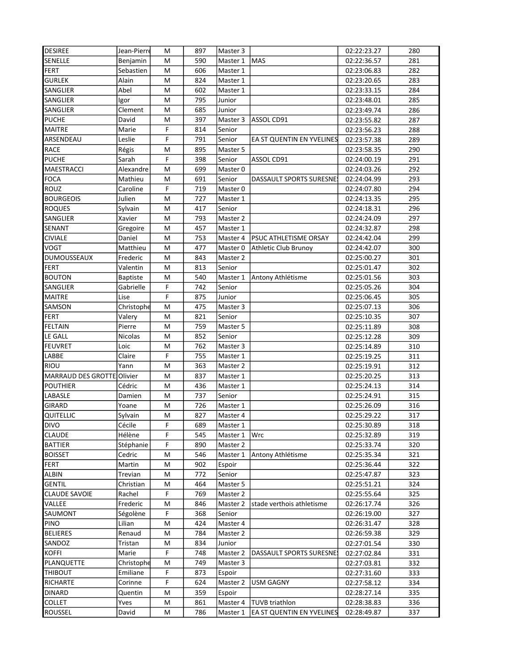| SENELLE<br>Benjamin<br>M<br>590<br>Master 1<br><b>MAS</b><br>02:22:36.57<br>281<br>FERT<br>Sebastien<br>M<br>606<br>Master 1<br>282<br>02:23:06.83<br><b>GURLEK</b><br>Alain<br>M<br>824<br>283<br>Master 1<br>02:23:20.65<br>SANGLIER<br>Abel<br>M<br>602<br>284<br>Master 1<br>02:23:33.15<br>795<br>285<br><b>SANGLIER</b><br>M<br>Junior<br>02:23:48.01<br>Igor<br>SANGLIER<br>Clement<br>M<br>685<br>286<br>Junior<br>02:23:49.74<br>397<br><b>PUCHE</b><br>David<br>M<br>Master 3<br>ASSOL CD91<br>02:23:55.82<br>287<br>F<br><b>MAITRE</b><br>Marie<br>814<br>Senior<br>02:23:56.23<br>288<br>F<br>ARSENDEAU<br>Leslie<br>791<br>EA ST QUENTIN EN YVELINES<br>02:23:57.38<br>289<br>Senior<br><b>RACE</b><br>290<br>Régis<br>M<br>895<br>Master 5<br>02:23:58.35<br>F<br><b>PUCHE</b><br>Sarah<br>398<br>ASSOL CD91<br>02:24:00.19<br>291<br>Senior<br>MAESTRACCI<br>Alexandre<br>699<br>292<br>M<br>Master 0<br>02:24:03.26<br><b>FOCA</b><br>Mathieu<br>691<br>02:24:04.99<br>293<br>M<br>Senior<br>DASSAULT SPORTS SURESNE<br>ROUZ<br>Caroline<br>F<br>294<br>719<br>Master 0<br>02:24:07.80<br>727<br>295<br><b>BOURGEOIS</b><br>Julien<br>M<br>Master 1<br>02:24:13.35<br><b>ROQUES</b><br>Sylvain<br>417<br>Senior<br>02:24:18.31<br>296<br>M<br>793<br>297<br>SANGLIER<br>Xavier<br>M<br>02:24:24.09<br>Master 2<br>SENANT<br>457<br>298<br>M<br>02:24:32.87<br>Gregoire<br>Master 1<br><b>CIVIALE</b><br>Daniel<br>753<br>PSUC ATHLETISME ORSAY<br>299<br>M<br>Master 4<br>02:24:42.04<br><b>VOGT</b><br>Matthieu<br>M<br>477<br>300<br>Athletic Club Brunoy<br>02:24:42.07<br>Master 0<br><b>DUMOUSSEAUX</b><br>Frederic<br>M<br>843<br>301<br>Master 2<br>02:25:00.27<br><b>FERT</b><br>Valentin<br>M<br>813<br>302<br>Senior<br>02:25:01.47<br>Antony Athlétisme<br><b>BOUTON</b><br><b>Baptiste</b><br>M<br>540<br>Master 1<br>303<br>02:25:01.56<br>F<br>742<br>SANGLIER<br>Gabrielle<br>304<br>Senior<br>02:25:05.26<br>F<br><b>MAITRE</b><br>875<br>Lise<br>305<br>Junior<br>02:25:06.45<br>SAMSON<br>Christophe<br>475<br>M<br>Master 3<br>306<br>02:25:07.13<br><b>FERT</b><br>Valery<br>821<br>M<br>02:25:10.35<br>307<br>Senior<br><b>FELTAIN</b><br>Pierre<br>759<br>M<br>Master 5<br>02:25:11.89<br>308<br>LE GALL<br>Nicolas<br>M<br>852<br>Senior<br>02:25:12.28<br>309<br><b>FEUVRET</b><br>Loic<br>M<br>762<br>Master 3<br>02:25:14.89<br>310<br>LABBE<br>Claire<br>F<br>755<br>311<br>Master 1<br>02:25:19.25<br><b>RIOU</b><br>Yann<br>M<br>363<br>Master 2<br>02:25:19.91<br>312<br>MARRAUD DES GROTTE<br>Olivier<br>837<br>02:25:20.25<br>313<br>M<br>Master 1<br><b>POUTHIER</b><br>Cédric<br>M<br>436<br>02:25:24.13<br>314<br>Master 1<br>LABASLE<br>737<br>315<br>Damien<br>M<br>02:25:24.91<br>Senior<br>GIRARD<br>726<br>316<br>Yoane<br>M<br>02:25:26.09<br>Master 1<br>QUITELLIC<br>Sylvain<br>M<br>827<br>02:25:29.22<br>317<br>Master 4<br>Cécile<br>$\overline{F}$<br><b>DIVO</b><br>689<br>318<br>Master 1<br>02:25:30.89<br>F<br><b>CLAUDE</b><br>545<br>Wrc<br>02:25:32.89<br>319<br>Hélène<br>Master 1<br>F<br><b>BATTIER</b><br>Stéphanie<br>890<br>Master 2<br>02:25:33.74<br>320<br><b>BOISSET</b><br>546<br>Antony Athlétisme<br>Cedric<br>M<br>Master 1<br>02:25:35.34<br>321<br>FERT<br>902<br>02:25:36.44<br>322<br>Martin<br>M<br>Espoir<br><b>ALBIN</b><br>Trevian<br>772<br>Senior<br>02:25:47.87<br>323<br>M<br><b>GENTIL</b><br>Christian<br>464<br>Master 5<br>02:25:51.21<br>324<br>м<br><b>CLAUDE SAVOIE</b><br>F<br>Rachel<br>769<br>Master 2<br>02:25:55.64<br>325<br>VALLEE<br>Frederic<br>М<br>846<br>Master 2<br>stade verthois athletisme<br>02:26:17.74<br>326<br>SAUMONT<br>Ségolène<br>F<br>368<br>Senior<br>02:26:19.00<br>327<br><b>PINO</b><br>Lilian<br>424<br>Master 4<br>м<br>02:26:31.47<br>328<br>Renaud<br><b>BELIERES</b><br>м<br>784<br>Master 2<br>02:26:59.38<br>329<br>SANDOZ<br>834<br>Tristan<br>M<br>Junior<br>02:27:01.54<br>330<br>F<br><b>KOFFI</b><br>Marie<br>748<br>DASSAULT SPORTS SURESNE<br>Master 2<br>331<br>02:27:02.84<br>PLANQUETTE<br>Christophe<br>749<br>Master 3<br>M<br>02:27:03.81<br>332<br>F<br><b>THIBOUT</b><br>Emiliane<br>873<br>Espoir<br>02:27:31.60<br>333<br>F<br>RICHARTE<br>624<br>Corinne<br>Master 2<br><b>USM GAGNY</b><br>02:27:58.12<br>334<br><b>DINARD</b><br>M<br>359<br>02:28:27.14<br>335<br>Quentin<br>Espoir<br><b>TUVB</b> triathlon<br><b>COLLET</b><br>Yves<br>M<br>861<br>Master 4<br>02:28:38.83<br>336<br>ROUSSEL<br>David<br>M<br>786<br>EA ST QUENTIN EN YVELINES<br>02:28:49.87<br>337<br>Master 1 | <b>DESIREE</b> | Jean-Pierre | м | 897 | Master 3 | 02:22:23.27 | 280 |
|-----------------------------------------------------------------------------------------------------------------------------------------------------------------------------------------------------------------------------------------------------------------------------------------------------------------------------------------------------------------------------------------------------------------------------------------------------------------------------------------------------------------------------------------------------------------------------------------------------------------------------------------------------------------------------------------------------------------------------------------------------------------------------------------------------------------------------------------------------------------------------------------------------------------------------------------------------------------------------------------------------------------------------------------------------------------------------------------------------------------------------------------------------------------------------------------------------------------------------------------------------------------------------------------------------------------------------------------------------------------------------------------------------------------------------------------------------------------------------------------------------------------------------------------------------------------------------------------------------------------------------------------------------------------------------------------------------------------------------------------------------------------------------------------------------------------------------------------------------------------------------------------------------------------------------------------------------------------------------------------------------------------------------------------------------------------------------------------------------------------------------------------------------------------------------------------------------------------------------------------------------------------------------------------------------------------------------------------------------------------------------------------------------------------------------------------------------------------------------------------------------------------------------------------------------------------------------------------------------------------------------------------------------------------------------------------------------------------------------------------------------------------------------------------------------------------------------------------------------------------------------------------------------------------------------------------------------------------------------------------------------------------------------------------------------------------------------------------------------------------------------------------------------------------------------------------------------------------------------------------------------------------------------------------------------------------------------------------------------------------------------------------------------------------------------------------------------------------------------------------------------------------------------------------------------------------------------------------------------------------------------------------------------------------------------------------------------------------------------------------------------------------------------------------------------------------------------------------------------------------------------------------------------------------------------------------------------------------------------------------------------------------------------------------------------------------------------------------------------------------------------------------------------------------------------------------------------------------------------------------------------------------------------------------------------------------------------------------------------------------------------------------------------------------------------------------------------------------------------------------------------------------------------------------------------|----------------|-------------|---|-----|----------|-------------|-----|
|                                                                                                                                                                                                                                                                                                                                                                                                                                                                                                                                                                                                                                                                                                                                                                                                                                                                                                                                                                                                                                                                                                                                                                                                                                                                                                                                                                                                                                                                                                                                                                                                                                                                                                                                                                                                                                                                                                                                                                                                                                                                                                                                                                                                                                                                                                                                                                                                                                                                                                                                                                                                                                                                                                                                                                                                                                                                                                                                                                                                                                                                                                                                                                                                                                                                                                                                                                                                                                                                                                                                                                                                                                                                                                                                                                                                                                                                                                                                                                                                                                                                                                                                                                                                                                                                                                                                                                                                                                                                                                                                                     |                |             |   |     |          |             |     |
|                                                                                                                                                                                                                                                                                                                                                                                                                                                                                                                                                                                                                                                                                                                                                                                                                                                                                                                                                                                                                                                                                                                                                                                                                                                                                                                                                                                                                                                                                                                                                                                                                                                                                                                                                                                                                                                                                                                                                                                                                                                                                                                                                                                                                                                                                                                                                                                                                                                                                                                                                                                                                                                                                                                                                                                                                                                                                                                                                                                                                                                                                                                                                                                                                                                                                                                                                                                                                                                                                                                                                                                                                                                                                                                                                                                                                                                                                                                                                                                                                                                                                                                                                                                                                                                                                                                                                                                                                                                                                                                                                     |                |             |   |     |          |             |     |
|                                                                                                                                                                                                                                                                                                                                                                                                                                                                                                                                                                                                                                                                                                                                                                                                                                                                                                                                                                                                                                                                                                                                                                                                                                                                                                                                                                                                                                                                                                                                                                                                                                                                                                                                                                                                                                                                                                                                                                                                                                                                                                                                                                                                                                                                                                                                                                                                                                                                                                                                                                                                                                                                                                                                                                                                                                                                                                                                                                                                                                                                                                                                                                                                                                                                                                                                                                                                                                                                                                                                                                                                                                                                                                                                                                                                                                                                                                                                                                                                                                                                                                                                                                                                                                                                                                                                                                                                                                                                                                                                                     |                |             |   |     |          |             |     |
|                                                                                                                                                                                                                                                                                                                                                                                                                                                                                                                                                                                                                                                                                                                                                                                                                                                                                                                                                                                                                                                                                                                                                                                                                                                                                                                                                                                                                                                                                                                                                                                                                                                                                                                                                                                                                                                                                                                                                                                                                                                                                                                                                                                                                                                                                                                                                                                                                                                                                                                                                                                                                                                                                                                                                                                                                                                                                                                                                                                                                                                                                                                                                                                                                                                                                                                                                                                                                                                                                                                                                                                                                                                                                                                                                                                                                                                                                                                                                                                                                                                                                                                                                                                                                                                                                                                                                                                                                                                                                                                                                     |                |             |   |     |          |             |     |
|                                                                                                                                                                                                                                                                                                                                                                                                                                                                                                                                                                                                                                                                                                                                                                                                                                                                                                                                                                                                                                                                                                                                                                                                                                                                                                                                                                                                                                                                                                                                                                                                                                                                                                                                                                                                                                                                                                                                                                                                                                                                                                                                                                                                                                                                                                                                                                                                                                                                                                                                                                                                                                                                                                                                                                                                                                                                                                                                                                                                                                                                                                                                                                                                                                                                                                                                                                                                                                                                                                                                                                                                                                                                                                                                                                                                                                                                                                                                                                                                                                                                                                                                                                                                                                                                                                                                                                                                                                                                                                                                                     |                |             |   |     |          |             |     |
|                                                                                                                                                                                                                                                                                                                                                                                                                                                                                                                                                                                                                                                                                                                                                                                                                                                                                                                                                                                                                                                                                                                                                                                                                                                                                                                                                                                                                                                                                                                                                                                                                                                                                                                                                                                                                                                                                                                                                                                                                                                                                                                                                                                                                                                                                                                                                                                                                                                                                                                                                                                                                                                                                                                                                                                                                                                                                                                                                                                                                                                                                                                                                                                                                                                                                                                                                                                                                                                                                                                                                                                                                                                                                                                                                                                                                                                                                                                                                                                                                                                                                                                                                                                                                                                                                                                                                                                                                                                                                                                                                     |                |             |   |     |          |             |     |
|                                                                                                                                                                                                                                                                                                                                                                                                                                                                                                                                                                                                                                                                                                                                                                                                                                                                                                                                                                                                                                                                                                                                                                                                                                                                                                                                                                                                                                                                                                                                                                                                                                                                                                                                                                                                                                                                                                                                                                                                                                                                                                                                                                                                                                                                                                                                                                                                                                                                                                                                                                                                                                                                                                                                                                                                                                                                                                                                                                                                                                                                                                                                                                                                                                                                                                                                                                                                                                                                                                                                                                                                                                                                                                                                                                                                                                                                                                                                                                                                                                                                                                                                                                                                                                                                                                                                                                                                                                                                                                                                                     |                |             |   |     |          |             |     |
|                                                                                                                                                                                                                                                                                                                                                                                                                                                                                                                                                                                                                                                                                                                                                                                                                                                                                                                                                                                                                                                                                                                                                                                                                                                                                                                                                                                                                                                                                                                                                                                                                                                                                                                                                                                                                                                                                                                                                                                                                                                                                                                                                                                                                                                                                                                                                                                                                                                                                                                                                                                                                                                                                                                                                                                                                                                                                                                                                                                                                                                                                                                                                                                                                                                                                                                                                                                                                                                                                                                                                                                                                                                                                                                                                                                                                                                                                                                                                                                                                                                                                                                                                                                                                                                                                                                                                                                                                                                                                                                                                     |                |             |   |     |          |             |     |
|                                                                                                                                                                                                                                                                                                                                                                                                                                                                                                                                                                                                                                                                                                                                                                                                                                                                                                                                                                                                                                                                                                                                                                                                                                                                                                                                                                                                                                                                                                                                                                                                                                                                                                                                                                                                                                                                                                                                                                                                                                                                                                                                                                                                                                                                                                                                                                                                                                                                                                                                                                                                                                                                                                                                                                                                                                                                                                                                                                                                                                                                                                                                                                                                                                                                                                                                                                                                                                                                                                                                                                                                                                                                                                                                                                                                                                                                                                                                                                                                                                                                                                                                                                                                                                                                                                                                                                                                                                                                                                                                                     |                |             |   |     |          |             |     |
|                                                                                                                                                                                                                                                                                                                                                                                                                                                                                                                                                                                                                                                                                                                                                                                                                                                                                                                                                                                                                                                                                                                                                                                                                                                                                                                                                                                                                                                                                                                                                                                                                                                                                                                                                                                                                                                                                                                                                                                                                                                                                                                                                                                                                                                                                                                                                                                                                                                                                                                                                                                                                                                                                                                                                                                                                                                                                                                                                                                                                                                                                                                                                                                                                                                                                                                                                                                                                                                                                                                                                                                                                                                                                                                                                                                                                                                                                                                                                                                                                                                                                                                                                                                                                                                                                                                                                                                                                                                                                                                                                     |                |             |   |     |          |             |     |
|                                                                                                                                                                                                                                                                                                                                                                                                                                                                                                                                                                                                                                                                                                                                                                                                                                                                                                                                                                                                                                                                                                                                                                                                                                                                                                                                                                                                                                                                                                                                                                                                                                                                                                                                                                                                                                                                                                                                                                                                                                                                                                                                                                                                                                                                                                                                                                                                                                                                                                                                                                                                                                                                                                                                                                                                                                                                                                                                                                                                                                                                                                                                                                                                                                                                                                                                                                                                                                                                                                                                                                                                                                                                                                                                                                                                                                                                                                                                                                                                                                                                                                                                                                                                                                                                                                                                                                                                                                                                                                                                                     |                |             |   |     |          |             |     |
|                                                                                                                                                                                                                                                                                                                                                                                                                                                                                                                                                                                                                                                                                                                                                                                                                                                                                                                                                                                                                                                                                                                                                                                                                                                                                                                                                                                                                                                                                                                                                                                                                                                                                                                                                                                                                                                                                                                                                                                                                                                                                                                                                                                                                                                                                                                                                                                                                                                                                                                                                                                                                                                                                                                                                                                                                                                                                                                                                                                                                                                                                                                                                                                                                                                                                                                                                                                                                                                                                                                                                                                                                                                                                                                                                                                                                                                                                                                                                                                                                                                                                                                                                                                                                                                                                                                                                                                                                                                                                                                                                     |                |             |   |     |          |             |     |
|                                                                                                                                                                                                                                                                                                                                                                                                                                                                                                                                                                                                                                                                                                                                                                                                                                                                                                                                                                                                                                                                                                                                                                                                                                                                                                                                                                                                                                                                                                                                                                                                                                                                                                                                                                                                                                                                                                                                                                                                                                                                                                                                                                                                                                                                                                                                                                                                                                                                                                                                                                                                                                                                                                                                                                                                                                                                                                                                                                                                                                                                                                                                                                                                                                                                                                                                                                                                                                                                                                                                                                                                                                                                                                                                                                                                                                                                                                                                                                                                                                                                                                                                                                                                                                                                                                                                                                                                                                                                                                                                                     |                |             |   |     |          |             |     |
|                                                                                                                                                                                                                                                                                                                                                                                                                                                                                                                                                                                                                                                                                                                                                                                                                                                                                                                                                                                                                                                                                                                                                                                                                                                                                                                                                                                                                                                                                                                                                                                                                                                                                                                                                                                                                                                                                                                                                                                                                                                                                                                                                                                                                                                                                                                                                                                                                                                                                                                                                                                                                                                                                                                                                                                                                                                                                                                                                                                                                                                                                                                                                                                                                                                                                                                                                                                                                                                                                                                                                                                                                                                                                                                                                                                                                                                                                                                                                                                                                                                                                                                                                                                                                                                                                                                                                                                                                                                                                                                                                     |                |             |   |     |          |             |     |
|                                                                                                                                                                                                                                                                                                                                                                                                                                                                                                                                                                                                                                                                                                                                                                                                                                                                                                                                                                                                                                                                                                                                                                                                                                                                                                                                                                                                                                                                                                                                                                                                                                                                                                                                                                                                                                                                                                                                                                                                                                                                                                                                                                                                                                                                                                                                                                                                                                                                                                                                                                                                                                                                                                                                                                                                                                                                                                                                                                                                                                                                                                                                                                                                                                                                                                                                                                                                                                                                                                                                                                                                                                                                                                                                                                                                                                                                                                                                                                                                                                                                                                                                                                                                                                                                                                                                                                                                                                                                                                                                                     |                |             |   |     |          |             |     |
|                                                                                                                                                                                                                                                                                                                                                                                                                                                                                                                                                                                                                                                                                                                                                                                                                                                                                                                                                                                                                                                                                                                                                                                                                                                                                                                                                                                                                                                                                                                                                                                                                                                                                                                                                                                                                                                                                                                                                                                                                                                                                                                                                                                                                                                                                                                                                                                                                                                                                                                                                                                                                                                                                                                                                                                                                                                                                                                                                                                                                                                                                                                                                                                                                                                                                                                                                                                                                                                                                                                                                                                                                                                                                                                                                                                                                                                                                                                                                                                                                                                                                                                                                                                                                                                                                                                                                                                                                                                                                                                                                     |                |             |   |     |          |             |     |
|                                                                                                                                                                                                                                                                                                                                                                                                                                                                                                                                                                                                                                                                                                                                                                                                                                                                                                                                                                                                                                                                                                                                                                                                                                                                                                                                                                                                                                                                                                                                                                                                                                                                                                                                                                                                                                                                                                                                                                                                                                                                                                                                                                                                                                                                                                                                                                                                                                                                                                                                                                                                                                                                                                                                                                                                                                                                                                                                                                                                                                                                                                                                                                                                                                                                                                                                                                                                                                                                                                                                                                                                                                                                                                                                                                                                                                                                                                                                                                                                                                                                                                                                                                                                                                                                                                                                                                                                                                                                                                                                                     |                |             |   |     |          |             |     |
|                                                                                                                                                                                                                                                                                                                                                                                                                                                                                                                                                                                                                                                                                                                                                                                                                                                                                                                                                                                                                                                                                                                                                                                                                                                                                                                                                                                                                                                                                                                                                                                                                                                                                                                                                                                                                                                                                                                                                                                                                                                                                                                                                                                                                                                                                                                                                                                                                                                                                                                                                                                                                                                                                                                                                                                                                                                                                                                                                                                                                                                                                                                                                                                                                                                                                                                                                                                                                                                                                                                                                                                                                                                                                                                                                                                                                                                                                                                                                                                                                                                                                                                                                                                                                                                                                                                                                                                                                                                                                                                                                     |                |             |   |     |          |             |     |
|                                                                                                                                                                                                                                                                                                                                                                                                                                                                                                                                                                                                                                                                                                                                                                                                                                                                                                                                                                                                                                                                                                                                                                                                                                                                                                                                                                                                                                                                                                                                                                                                                                                                                                                                                                                                                                                                                                                                                                                                                                                                                                                                                                                                                                                                                                                                                                                                                                                                                                                                                                                                                                                                                                                                                                                                                                                                                                                                                                                                                                                                                                                                                                                                                                                                                                                                                                                                                                                                                                                                                                                                                                                                                                                                                                                                                                                                                                                                                                                                                                                                                                                                                                                                                                                                                                                                                                                                                                                                                                                                                     |                |             |   |     |          |             |     |
|                                                                                                                                                                                                                                                                                                                                                                                                                                                                                                                                                                                                                                                                                                                                                                                                                                                                                                                                                                                                                                                                                                                                                                                                                                                                                                                                                                                                                                                                                                                                                                                                                                                                                                                                                                                                                                                                                                                                                                                                                                                                                                                                                                                                                                                                                                                                                                                                                                                                                                                                                                                                                                                                                                                                                                                                                                                                                                                                                                                                                                                                                                                                                                                                                                                                                                                                                                                                                                                                                                                                                                                                                                                                                                                                                                                                                                                                                                                                                                                                                                                                                                                                                                                                                                                                                                                                                                                                                                                                                                                                                     |                |             |   |     |          |             |     |
|                                                                                                                                                                                                                                                                                                                                                                                                                                                                                                                                                                                                                                                                                                                                                                                                                                                                                                                                                                                                                                                                                                                                                                                                                                                                                                                                                                                                                                                                                                                                                                                                                                                                                                                                                                                                                                                                                                                                                                                                                                                                                                                                                                                                                                                                                                                                                                                                                                                                                                                                                                                                                                                                                                                                                                                                                                                                                                                                                                                                                                                                                                                                                                                                                                                                                                                                                                                                                                                                                                                                                                                                                                                                                                                                                                                                                                                                                                                                                                                                                                                                                                                                                                                                                                                                                                                                                                                                                                                                                                                                                     |                |             |   |     |          |             |     |
|                                                                                                                                                                                                                                                                                                                                                                                                                                                                                                                                                                                                                                                                                                                                                                                                                                                                                                                                                                                                                                                                                                                                                                                                                                                                                                                                                                                                                                                                                                                                                                                                                                                                                                                                                                                                                                                                                                                                                                                                                                                                                                                                                                                                                                                                                                                                                                                                                                                                                                                                                                                                                                                                                                                                                                                                                                                                                                                                                                                                                                                                                                                                                                                                                                                                                                                                                                                                                                                                                                                                                                                                                                                                                                                                                                                                                                                                                                                                                                                                                                                                                                                                                                                                                                                                                                                                                                                                                                                                                                                                                     |                |             |   |     |          |             |     |
|                                                                                                                                                                                                                                                                                                                                                                                                                                                                                                                                                                                                                                                                                                                                                                                                                                                                                                                                                                                                                                                                                                                                                                                                                                                                                                                                                                                                                                                                                                                                                                                                                                                                                                                                                                                                                                                                                                                                                                                                                                                                                                                                                                                                                                                                                                                                                                                                                                                                                                                                                                                                                                                                                                                                                                                                                                                                                                                                                                                                                                                                                                                                                                                                                                                                                                                                                                                                                                                                                                                                                                                                                                                                                                                                                                                                                                                                                                                                                                                                                                                                                                                                                                                                                                                                                                                                                                                                                                                                                                                                                     |                |             |   |     |          |             |     |
|                                                                                                                                                                                                                                                                                                                                                                                                                                                                                                                                                                                                                                                                                                                                                                                                                                                                                                                                                                                                                                                                                                                                                                                                                                                                                                                                                                                                                                                                                                                                                                                                                                                                                                                                                                                                                                                                                                                                                                                                                                                                                                                                                                                                                                                                                                                                                                                                                                                                                                                                                                                                                                                                                                                                                                                                                                                                                                                                                                                                                                                                                                                                                                                                                                                                                                                                                                                                                                                                                                                                                                                                                                                                                                                                                                                                                                                                                                                                                                                                                                                                                                                                                                                                                                                                                                                                                                                                                                                                                                                                                     |                |             |   |     |          |             |     |
|                                                                                                                                                                                                                                                                                                                                                                                                                                                                                                                                                                                                                                                                                                                                                                                                                                                                                                                                                                                                                                                                                                                                                                                                                                                                                                                                                                                                                                                                                                                                                                                                                                                                                                                                                                                                                                                                                                                                                                                                                                                                                                                                                                                                                                                                                                                                                                                                                                                                                                                                                                                                                                                                                                                                                                                                                                                                                                                                                                                                                                                                                                                                                                                                                                                                                                                                                                                                                                                                                                                                                                                                                                                                                                                                                                                                                                                                                                                                                                                                                                                                                                                                                                                                                                                                                                                                                                                                                                                                                                                                                     |                |             |   |     |          |             |     |
|                                                                                                                                                                                                                                                                                                                                                                                                                                                                                                                                                                                                                                                                                                                                                                                                                                                                                                                                                                                                                                                                                                                                                                                                                                                                                                                                                                                                                                                                                                                                                                                                                                                                                                                                                                                                                                                                                                                                                                                                                                                                                                                                                                                                                                                                                                                                                                                                                                                                                                                                                                                                                                                                                                                                                                                                                                                                                                                                                                                                                                                                                                                                                                                                                                                                                                                                                                                                                                                                                                                                                                                                                                                                                                                                                                                                                                                                                                                                                                                                                                                                                                                                                                                                                                                                                                                                                                                                                                                                                                                                                     |                |             |   |     |          |             |     |
|                                                                                                                                                                                                                                                                                                                                                                                                                                                                                                                                                                                                                                                                                                                                                                                                                                                                                                                                                                                                                                                                                                                                                                                                                                                                                                                                                                                                                                                                                                                                                                                                                                                                                                                                                                                                                                                                                                                                                                                                                                                                                                                                                                                                                                                                                                                                                                                                                                                                                                                                                                                                                                                                                                                                                                                                                                                                                                                                                                                                                                                                                                                                                                                                                                                                                                                                                                                                                                                                                                                                                                                                                                                                                                                                                                                                                                                                                                                                                                                                                                                                                                                                                                                                                                                                                                                                                                                                                                                                                                                                                     |                |             |   |     |          |             |     |
|                                                                                                                                                                                                                                                                                                                                                                                                                                                                                                                                                                                                                                                                                                                                                                                                                                                                                                                                                                                                                                                                                                                                                                                                                                                                                                                                                                                                                                                                                                                                                                                                                                                                                                                                                                                                                                                                                                                                                                                                                                                                                                                                                                                                                                                                                                                                                                                                                                                                                                                                                                                                                                                                                                                                                                                                                                                                                                                                                                                                                                                                                                                                                                                                                                                                                                                                                                                                                                                                                                                                                                                                                                                                                                                                                                                                                                                                                                                                                                                                                                                                                                                                                                                                                                                                                                                                                                                                                                                                                                                                                     |                |             |   |     |          |             |     |
|                                                                                                                                                                                                                                                                                                                                                                                                                                                                                                                                                                                                                                                                                                                                                                                                                                                                                                                                                                                                                                                                                                                                                                                                                                                                                                                                                                                                                                                                                                                                                                                                                                                                                                                                                                                                                                                                                                                                                                                                                                                                                                                                                                                                                                                                                                                                                                                                                                                                                                                                                                                                                                                                                                                                                                                                                                                                                                                                                                                                                                                                                                                                                                                                                                                                                                                                                                                                                                                                                                                                                                                                                                                                                                                                                                                                                                                                                                                                                                                                                                                                                                                                                                                                                                                                                                                                                                                                                                                                                                                                                     |                |             |   |     |          |             |     |
|                                                                                                                                                                                                                                                                                                                                                                                                                                                                                                                                                                                                                                                                                                                                                                                                                                                                                                                                                                                                                                                                                                                                                                                                                                                                                                                                                                                                                                                                                                                                                                                                                                                                                                                                                                                                                                                                                                                                                                                                                                                                                                                                                                                                                                                                                                                                                                                                                                                                                                                                                                                                                                                                                                                                                                                                                                                                                                                                                                                                                                                                                                                                                                                                                                                                                                                                                                                                                                                                                                                                                                                                                                                                                                                                                                                                                                                                                                                                                                                                                                                                                                                                                                                                                                                                                                                                                                                                                                                                                                                                                     |                |             |   |     |          |             |     |
|                                                                                                                                                                                                                                                                                                                                                                                                                                                                                                                                                                                                                                                                                                                                                                                                                                                                                                                                                                                                                                                                                                                                                                                                                                                                                                                                                                                                                                                                                                                                                                                                                                                                                                                                                                                                                                                                                                                                                                                                                                                                                                                                                                                                                                                                                                                                                                                                                                                                                                                                                                                                                                                                                                                                                                                                                                                                                                                                                                                                                                                                                                                                                                                                                                                                                                                                                                                                                                                                                                                                                                                                                                                                                                                                                                                                                                                                                                                                                                                                                                                                                                                                                                                                                                                                                                                                                                                                                                                                                                                                                     |                |             |   |     |          |             |     |
|                                                                                                                                                                                                                                                                                                                                                                                                                                                                                                                                                                                                                                                                                                                                                                                                                                                                                                                                                                                                                                                                                                                                                                                                                                                                                                                                                                                                                                                                                                                                                                                                                                                                                                                                                                                                                                                                                                                                                                                                                                                                                                                                                                                                                                                                                                                                                                                                                                                                                                                                                                                                                                                                                                                                                                                                                                                                                                                                                                                                                                                                                                                                                                                                                                                                                                                                                                                                                                                                                                                                                                                                                                                                                                                                                                                                                                                                                                                                                                                                                                                                                                                                                                                                                                                                                                                                                                                                                                                                                                                                                     |                |             |   |     |          |             |     |
|                                                                                                                                                                                                                                                                                                                                                                                                                                                                                                                                                                                                                                                                                                                                                                                                                                                                                                                                                                                                                                                                                                                                                                                                                                                                                                                                                                                                                                                                                                                                                                                                                                                                                                                                                                                                                                                                                                                                                                                                                                                                                                                                                                                                                                                                                                                                                                                                                                                                                                                                                                                                                                                                                                                                                                                                                                                                                                                                                                                                                                                                                                                                                                                                                                                                                                                                                                                                                                                                                                                                                                                                                                                                                                                                                                                                                                                                                                                                                                                                                                                                                                                                                                                                                                                                                                                                                                                                                                                                                                                                                     |                |             |   |     |          |             |     |
|                                                                                                                                                                                                                                                                                                                                                                                                                                                                                                                                                                                                                                                                                                                                                                                                                                                                                                                                                                                                                                                                                                                                                                                                                                                                                                                                                                                                                                                                                                                                                                                                                                                                                                                                                                                                                                                                                                                                                                                                                                                                                                                                                                                                                                                                                                                                                                                                                                                                                                                                                                                                                                                                                                                                                                                                                                                                                                                                                                                                                                                                                                                                                                                                                                                                                                                                                                                                                                                                                                                                                                                                                                                                                                                                                                                                                                                                                                                                                                                                                                                                                                                                                                                                                                                                                                                                                                                                                                                                                                                                                     |                |             |   |     |          |             |     |
|                                                                                                                                                                                                                                                                                                                                                                                                                                                                                                                                                                                                                                                                                                                                                                                                                                                                                                                                                                                                                                                                                                                                                                                                                                                                                                                                                                                                                                                                                                                                                                                                                                                                                                                                                                                                                                                                                                                                                                                                                                                                                                                                                                                                                                                                                                                                                                                                                                                                                                                                                                                                                                                                                                                                                                                                                                                                                                                                                                                                                                                                                                                                                                                                                                                                                                                                                                                                                                                                                                                                                                                                                                                                                                                                                                                                                                                                                                                                                                                                                                                                                                                                                                                                                                                                                                                                                                                                                                                                                                                                                     |                |             |   |     |          |             |     |
|                                                                                                                                                                                                                                                                                                                                                                                                                                                                                                                                                                                                                                                                                                                                                                                                                                                                                                                                                                                                                                                                                                                                                                                                                                                                                                                                                                                                                                                                                                                                                                                                                                                                                                                                                                                                                                                                                                                                                                                                                                                                                                                                                                                                                                                                                                                                                                                                                                                                                                                                                                                                                                                                                                                                                                                                                                                                                                                                                                                                                                                                                                                                                                                                                                                                                                                                                                                                                                                                                                                                                                                                                                                                                                                                                                                                                                                                                                                                                                                                                                                                                                                                                                                                                                                                                                                                                                                                                                                                                                                                                     |                |             |   |     |          |             |     |
|                                                                                                                                                                                                                                                                                                                                                                                                                                                                                                                                                                                                                                                                                                                                                                                                                                                                                                                                                                                                                                                                                                                                                                                                                                                                                                                                                                                                                                                                                                                                                                                                                                                                                                                                                                                                                                                                                                                                                                                                                                                                                                                                                                                                                                                                                                                                                                                                                                                                                                                                                                                                                                                                                                                                                                                                                                                                                                                                                                                                                                                                                                                                                                                                                                                                                                                                                                                                                                                                                                                                                                                                                                                                                                                                                                                                                                                                                                                                                                                                                                                                                                                                                                                                                                                                                                                                                                                                                                                                                                                                                     |                |             |   |     |          |             |     |
|                                                                                                                                                                                                                                                                                                                                                                                                                                                                                                                                                                                                                                                                                                                                                                                                                                                                                                                                                                                                                                                                                                                                                                                                                                                                                                                                                                                                                                                                                                                                                                                                                                                                                                                                                                                                                                                                                                                                                                                                                                                                                                                                                                                                                                                                                                                                                                                                                                                                                                                                                                                                                                                                                                                                                                                                                                                                                                                                                                                                                                                                                                                                                                                                                                                                                                                                                                                                                                                                                                                                                                                                                                                                                                                                                                                                                                                                                                                                                                                                                                                                                                                                                                                                                                                                                                                                                                                                                                                                                                                                                     |                |             |   |     |          |             |     |
|                                                                                                                                                                                                                                                                                                                                                                                                                                                                                                                                                                                                                                                                                                                                                                                                                                                                                                                                                                                                                                                                                                                                                                                                                                                                                                                                                                                                                                                                                                                                                                                                                                                                                                                                                                                                                                                                                                                                                                                                                                                                                                                                                                                                                                                                                                                                                                                                                                                                                                                                                                                                                                                                                                                                                                                                                                                                                                                                                                                                                                                                                                                                                                                                                                                                                                                                                                                                                                                                                                                                                                                                                                                                                                                                                                                                                                                                                                                                                                                                                                                                                                                                                                                                                                                                                                                                                                                                                                                                                                                                                     |                |             |   |     |          |             |     |
|                                                                                                                                                                                                                                                                                                                                                                                                                                                                                                                                                                                                                                                                                                                                                                                                                                                                                                                                                                                                                                                                                                                                                                                                                                                                                                                                                                                                                                                                                                                                                                                                                                                                                                                                                                                                                                                                                                                                                                                                                                                                                                                                                                                                                                                                                                                                                                                                                                                                                                                                                                                                                                                                                                                                                                                                                                                                                                                                                                                                                                                                                                                                                                                                                                                                                                                                                                                                                                                                                                                                                                                                                                                                                                                                                                                                                                                                                                                                                                                                                                                                                                                                                                                                                                                                                                                                                                                                                                                                                                                                                     |                |             |   |     |          |             |     |
|                                                                                                                                                                                                                                                                                                                                                                                                                                                                                                                                                                                                                                                                                                                                                                                                                                                                                                                                                                                                                                                                                                                                                                                                                                                                                                                                                                                                                                                                                                                                                                                                                                                                                                                                                                                                                                                                                                                                                                                                                                                                                                                                                                                                                                                                                                                                                                                                                                                                                                                                                                                                                                                                                                                                                                                                                                                                                                                                                                                                                                                                                                                                                                                                                                                                                                                                                                                                                                                                                                                                                                                                                                                                                                                                                                                                                                                                                                                                                                                                                                                                                                                                                                                                                                                                                                                                                                                                                                                                                                                                                     |                |             |   |     |          |             |     |
|                                                                                                                                                                                                                                                                                                                                                                                                                                                                                                                                                                                                                                                                                                                                                                                                                                                                                                                                                                                                                                                                                                                                                                                                                                                                                                                                                                                                                                                                                                                                                                                                                                                                                                                                                                                                                                                                                                                                                                                                                                                                                                                                                                                                                                                                                                                                                                                                                                                                                                                                                                                                                                                                                                                                                                                                                                                                                                                                                                                                                                                                                                                                                                                                                                                                                                                                                                                                                                                                                                                                                                                                                                                                                                                                                                                                                                                                                                                                                                                                                                                                                                                                                                                                                                                                                                                                                                                                                                                                                                                                                     |                |             |   |     |          |             |     |
|                                                                                                                                                                                                                                                                                                                                                                                                                                                                                                                                                                                                                                                                                                                                                                                                                                                                                                                                                                                                                                                                                                                                                                                                                                                                                                                                                                                                                                                                                                                                                                                                                                                                                                                                                                                                                                                                                                                                                                                                                                                                                                                                                                                                                                                                                                                                                                                                                                                                                                                                                                                                                                                                                                                                                                                                                                                                                                                                                                                                                                                                                                                                                                                                                                                                                                                                                                                                                                                                                                                                                                                                                                                                                                                                                                                                                                                                                                                                                                                                                                                                                                                                                                                                                                                                                                                                                                                                                                                                                                                                                     |                |             |   |     |          |             |     |
|                                                                                                                                                                                                                                                                                                                                                                                                                                                                                                                                                                                                                                                                                                                                                                                                                                                                                                                                                                                                                                                                                                                                                                                                                                                                                                                                                                                                                                                                                                                                                                                                                                                                                                                                                                                                                                                                                                                                                                                                                                                                                                                                                                                                                                                                                                                                                                                                                                                                                                                                                                                                                                                                                                                                                                                                                                                                                                                                                                                                                                                                                                                                                                                                                                                                                                                                                                                                                                                                                                                                                                                                                                                                                                                                                                                                                                                                                                                                                                                                                                                                                                                                                                                                                                                                                                                                                                                                                                                                                                                                                     |                |             |   |     |          |             |     |
|                                                                                                                                                                                                                                                                                                                                                                                                                                                                                                                                                                                                                                                                                                                                                                                                                                                                                                                                                                                                                                                                                                                                                                                                                                                                                                                                                                                                                                                                                                                                                                                                                                                                                                                                                                                                                                                                                                                                                                                                                                                                                                                                                                                                                                                                                                                                                                                                                                                                                                                                                                                                                                                                                                                                                                                                                                                                                                                                                                                                                                                                                                                                                                                                                                                                                                                                                                                                                                                                                                                                                                                                                                                                                                                                                                                                                                                                                                                                                                                                                                                                                                                                                                                                                                                                                                                                                                                                                                                                                                                                                     |                |             |   |     |          |             |     |
|                                                                                                                                                                                                                                                                                                                                                                                                                                                                                                                                                                                                                                                                                                                                                                                                                                                                                                                                                                                                                                                                                                                                                                                                                                                                                                                                                                                                                                                                                                                                                                                                                                                                                                                                                                                                                                                                                                                                                                                                                                                                                                                                                                                                                                                                                                                                                                                                                                                                                                                                                                                                                                                                                                                                                                                                                                                                                                                                                                                                                                                                                                                                                                                                                                                                                                                                                                                                                                                                                                                                                                                                                                                                                                                                                                                                                                                                                                                                                                                                                                                                                                                                                                                                                                                                                                                                                                                                                                                                                                                                                     |                |             |   |     |          |             |     |
|                                                                                                                                                                                                                                                                                                                                                                                                                                                                                                                                                                                                                                                                                                                                                                                                                                                                                                                                                                                                                                                                                                                                                                                                                                                                                                                                                                                                                                                                                                                                                                                                                                                                                                                                                                                                                                                                                                                                                                                                                                                                                                                                                                                                                                                                                                                                                                                                                                                                                                                                                                                                                                                                                                                                                                                                                                                                                                                                                                                                                                                                                                                                                                                                                                                                                                                                                                                                                                                                                                                                                                                                                                                                                                                                                                                                                                                                                                                                                                                                                                                                                                                                                                                                                                                                                                                                                                                                                                                                                                                                                     |                |             |   |     |          |             |     |
|                                                                                                                                                                                                                                                                                                                                                                                                                                                                                                                                                                                                                                                                                                                                                                                                                                                                                                                                                                                                                                                                                                                                                                                                                                                                                                                                                                                                                                                                                                                                                                                                                                                                                                                                                                                                                                                                                                                                                                                                                                                                                                                                                                                                                                                                                                                                                                                                                                                                                                                                                                                                                                                                                                                                                                                                                                                                                                                                                                                                                                                                                                                                                                                                                                                                                                                                                                                                                                                                                                                                                                                                                                                                                                                                                                                                                                                                                                                                                                                                                                                                                                                                                                                                                                                                                                                                                                                                                                                                                                                                                     |                |             |   |     |          |             |     |
|                                                                                                                                                                                                                                                                                                                                                                                                                                                                                                                                                                                                                                                                                                                                                                                                                                                                                                                                                                                                                                                                                                                                                                                                                                                                                                                                                                                                                                                                                                                                                                                                                                                                                                                                                                                                                                                                                                                                                                                                                                                                                                                                                                                                                                                                                                                                                                                                                                                                                                                                                                                                                                                                                                                                                                                                                                                                                                                                                                                                                                                                                                                                                                                                                                                                                                                                                                                                                                                                                                                                                                                                                                                                                                                                                                                                                                                                                                                                                                                                                                                                                                                                                                                                                                                                                                                                                                                                                                                                                                                                                     |                |             |   |     |          |             |     |
|                                                                                                                                                                                                                                                                                                                                                                                                                                                                                                                                                                                                                                                                                                                                                                                                                                                                                                                                                                                                                                                                                                                                                                                                                                                                                                                                                                                                                                                                                                                                                                                                                                                                                                                                                                                                                                                                                                                                                                                                                                                                                                                                                                                                                                                                                                                                                                                                                                                                                                                                                                                                                                                                                                                                                                                                                                                                                                                                                                                                                                                                                                                                                                                                                                                                                                                                                                                                                                                                                                                                                                                                                                                                                                                                                                                                                                                                                                                                                                                                                                                                                                                                                                                                                                                                                                                                                                                                                                                                                                                                                     |                |             |   |     |          |             |     |
|                                                                                                                                                                                                                                                                                                                                                                                                                                                                                                                                                                                                                                                                                                                                                                                                                                                                                                                                                                                                                                                                                                                                                                                                                                                                                                                                                                                                                                                                                                                                                                                                                                                                                                                                                                                                                                                                                                                                                                                                                                                                                                                                                                                                                                                                                                                                                                                                                                                                                                                                                                                                                                                                                                                                                                                                                                                                                                                                                                                                                                                                                                                                                                                                                                                                                                                                                                                                                                                                                                                                                                                                                                                                                                                                                                                                                                                                                                                                                                                                                                                                                                                                                                                                                                                                                                                                                                                                                                                                                                                                                     |                |             |   |     |          |             |     |
|                                                                                                                                                                                                                                                                                                                                                                                                                                                                                                                                                                                                                                                                                                                                                                                                                                                                                                                                                                                                                                                                                                                                                                                                                                                                                                                                                                                                                                                                                                                                                                                                                                                                                                                                                                                                                                                                                                                                                                                                                                                                                                                                                                                                                                                                                                                                                                                                                                                                                                                                                                                                                                                                                                                                                                                                                                                                                                                                                                                                                                                                                                                                                                                                                                                                                                                                                                                                                                                                                                                                                                                                                                                                                                                                                                                                                                                                                                                                                                                                                                                                                                                                                                                                                                                                                                                                                                                                                                                                                                                                                     |                |             |   |     |          |             |     |
|                                                                                                                                                                                                                                                                                                                                                                                                                                                                                                                                                                                                                                                                                                                                                                                                                                                                                                                                                                                                                                                                                                                                                                                                                                                                                                                                                                                                                                                                                                                                                                                                                                                                                                                                                                                                                                                                                                                                                                                                                                                                                                                                                                                                                                                                                                                                                                                                                                                                                                                                                                                                                                                                                                                                                                                                                                                                                                                                                                                                                                                                                                                                                                                                                                                                                                                                                                                                                                                                                                                                                                                                                                                                                                                                                                                                                                                                                                                                                                                                                                                                                                                                                                                                                                                                                                                                                                                                                                                                                                                                                     |                |             |   |     |          |             |     |
|                                                                                                                                                                                                                                                                                                                                                                                                                                                                                                                                                                                                                                                                                                                                                                                                                                                                                                                                                                                                                                                                                                                                                                                                                                                                                                                                                                                                                                                                                                                                                                                                                                                                                                                                                                                                                                                                                                                                                                                                                                                                                                                                                                                                                                                                                                                                                                                                                                                                                                                                                                                                                                                                                                                                                                                                                                                                                                                                                                                                                                                                                                                                                                                                                                                                                                                                                                                                                                                                                                                                                                                                                                                                                                                                                                                                                                                                                                                                                                                                                                                                                                                                                                                                                                                                                                                                                                                                                                                                                                                                                     |                |             |   |     |          |             |     |
|                                                                                                                                                                                                                                                                                                                                                                                                                                                                                                                                                                                                                                                                                                                                                                                                                                                                                                                                                                                                                                                                                                                                                                                                                                                                                                                                                                                                                                                                                                                                                                                                                                                                                                                                                                                                                                                                                                                                                                                                                                                                                                                                                                                                                                                                                                                                                                                                                                                                                                                                                                                                                                                                                                                                                                                                                                                                                                                                                                                                                                                                                                                                                                                                                                                                                                                                                                                                                                                                                                                                                                                                                                                                                                                                                                                                                                                                                                                                                                                                                                                                                                                                                                                                                                                                                                                                                                                                                                                                                                                                                     |                |             |   |     |          |             |     |
|                                                                                                                                                                                                                                                                                                                                                                                                                                                                                                                                                                                                                                                                                                                                                                                                                                                                                                                                                                                                                                                                                                                                                                                                                                                                                                                                                                                                                                                                                                                                                                                                                                                                                                                                                                                                                                                                                                                                                                                                                                                                                                                                                                                                                                                                                                                                                                                                                                                                                                                                                                                                                                                                                                                                                                                                                                                                                                                                                                                                                                                                                                                                                                                                                                                                                                                                                                                                                                                                                                                                                                                                                                                                                                                                                                                                                                                                                                                                                                                                                                                                                                                                                                                                                                                                                                                                                                                                                                                                                                                                                     |                |             |   |     |          |             |     |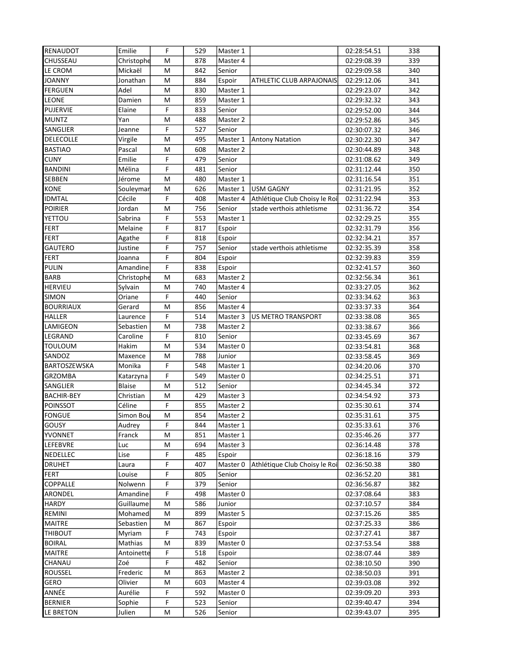| RENAUDOT          | Emilie        | F              | 529 | Master 1 |                               | 02:28:54.51 | 338              |
|-------------------|---------------|----------------|-----|----------|-------------------------------|-------------|------------------|
| CHUSSEAU          | Christophe    | M              | 878 | Master 4 |                               | 02:29:08.39 | 339              |
| LE CROM           | Mickaël       | M              | 842 | Senior   |                               | 02:29:09.58 | 340              |
| <b>JOANNY</b>     | Jonathan      | M              | 884 | Espoir   | ATHLETIC CLUB ARPAJONAIS      | 02:29:12.06 | 341              |
| <b>FERGUEN</b>    | Adel          | M              | 830 | Master 1 |                               | 02:29:23.07 | 342              |
| <b>LEONE</b>      | Damien        | M              | 859 | Master 1 |                               | 02:29:32.32 | 343              |
| PUJERVIE          | Elaine        | F              | 833 | Senior   |                               | 02:29:52.00 | 344              |
| <b>MUNTZ</b>      | Yan           | M              | 488 | Master 2 |                               | 02:29:52.86 | 345              |
| SANGLIER          | Jeanne        | F              | 527 | Senior   |                               | 02:30:07.32 | 346              |
| DELECOLLE         | Virgile       | M              | 495 | Master 1 | <b>Antony Natation</b>        | 02:30:22.30 | 347              |
| <b>BASTIAO</b>    | Pascal        | M              | 608 | Master 2 |                               | 02:30:44.89 | 348              |
| <b>CUNY</b>       | Emilie        | F              | 479 | Senior   |                               | 02:31:08.62 | 349              |
| <b>BANDINI</b>    | Mélina        | F              | 481 | Senior   |                               | 02:31:12.44 | 350              |
| SEBBEN            | Jérome        | M              | 480 | Master 1 |                               | 02:31:16.54 | 351              |
| KONE              | Souleymar     | M              | 626 | Master 1 | <b>USM GAGNY</b>              | 02:31:21.95 | 352              |
| <b>IDMTAL</b>     | Cécile        | F              | 408 | Master 4 | Athlétique Club Choisy le Roi | 02:31:22.94 | 353              |
| <b>POIRIER</b>    | Jordan        | M              | 756 | Senior   | stade verthois athletisme     | 02:31:36.72 | 354              |
| YETTOU            | Sabrina       | F              | 553 | Master 1 |                               | 02:32:29.25 | 355              |
| <b>FERT</b>       | Melaine       | F              | 817 | Espoir   |                               | 02:32:31.79 | 356              |
| <b>FERT</b>       | Agathe        | F              | 818 | Espoir   |                               | 02:32:34.21 | 357              |
| <b>GAUTERO</b>    | Justine       | F              | 757 | Senior   | stade verthois athletisme     | 02:32:35.39 | 358              |
| <b>FERT</b>       | Joanna        | F              | 804 | Espoir   |                               | 02:32:39.83 | 359              |
| <b>PULIN</b>      | Amandine      | F              | 838 | Espoir   |                               | 02:32:41.57 | 360              |
| <b>BARB</b>       | Christophe    | M              | 683 | Master 2 |                               | 02:32:56.34 | 361              |
| <b>HERVIEU</b>    | Sylvain       | M              | 740 | Master 4 |                               | 02:33:27.05 | 362              |
| SIMON             | Oriane        | F              | 440 | Senior   |                               | 02:33:34.62 | 363              |
| <b>BOURRIAUX</b>  | Gerard        | M              | 856 | Master 4 |                               | 02:33:37.33 | 364              |
| <b>HALLER</b>     | Laurence      | F              | 514 | Master 3 | <b>US METRO TRANSPORT</b>     | 02:33:38.08 | 365              |
| LAMIGEON          | Sebastien     | M              | 738 | Master 2 |                               | 02:33:38.67 | 366              |
| LEGRAND           | Caroline      | F              | 810 | Senior   |                               | 02:33:45.69 | 367              |
| TOULOUM           | Hakim         | M              | 534 | Master 0 |                               | 02:33:54.81 | 368              |
| SANDOZ            | Maxence       | M              | 788 | Junior   |                               | 02:33:58.45 | 369              |
| BARTOSZEWSKA      | Monika        | F              | 548 | Master 1 |                               | 02:34:20.06 | 370              |
| <b>GRZOMBA</b>    | Katarzyna     | F              | 549 | Master 0 |                               | 02:34:25.51 | 371              |
| SANGLIER          | <b>Blaise</b> | M              | 512 | Senior   |                               | 02:34:45.34 | 372              |
| <b>BACHIR-BEY</b> | Christian     | M              | 429 | Master 3 |                               | 02:34:54.92 | 373              |
| <b>POINSSOT</b>   | Céline        | F              | 855 | Master 2 |                               | 02:35:30.61 | 374              |
| <b>FONGUE</b>     | Simon Bou     | M              | 854 | Master 2 |                               | 02:35:31.61 | 375              |
| GOUSY             | Audrey        | $\overline{F}$ | 844 | Master 1 |                               | 02:35:33.61 | $\overline{376}$ |
| YVONNET           | Franck        | М              | 851 | Master 1 |                               | 02:35:46.26 | 377              |
| <b>LEFEBVRE</b>   | Luc           | M              | 694 | Master 3 |                               | 02:36:14.48 | 378              |
| NEDELLEC          | Lise          | F              | 485 | Espoir   |                               | 02:36:18.16 | 379              |
| <b>DRUHET</b>     | Laura         | F              | 407 | Master 0 | Athlétique Club Choisy le Roi | 02:36:50.38 | 380              |
| <b>FERT</b>       | Louise        | F              | 805 | Senior   |                               | 02:36:52.20 | 381              |
| <b>COPPALLE</b>   | Nolwenn       | F              | 379 | Senior   |                               | 02:36:56.87 | 382              |
| ARONDEL           | Amandine      | F              | 498 | Master 0 |                               | 02:37:08.64 | 383              |
| <b>HARDY</b>      | Guillaume     | М              | 586 | Junior   |                               | 02:37:10.57 | 384              |
| REMINI            | Mohamed       | м              | 899 | Master 5 |                               | 02:37:15.26 | 385              |
| <b>MAITRE</b>     | Sebastien     | м              | 867 | Espoir   |                               | 02:37:25.33 | 386              |
| THIBOUT           | Myriam        | F              | 743 | Espoir   |                               | 02:37:27.41 | 387              |
| <b>BOIRAL</b>     | Mathias       | M              | 839 | Master 0 |                               | 02:37:53.54 | 388              |
| <b>MAITRE</b>     | Antoinette    | F              | 518 | Espoir   |                               | 02:38:07.44 | 389              |
| CHANAU            | Zoé           | F              | 482 | Senior   |                               | 02:38:10.50 | 390              |
| ROUSSEL           | Frederic      | M              | 863 | Master 2 |                               | 02:38:50.03 | 391              |
| GERO              | Olivier       | M              | 603 | Master 4 |                               | 02:39:03.08 | 392              |
| ANNÉE             | Aurélie       | F              | 592 | Master 0 |                               | 02:39:09.20 | 393              |
| <b>BERNIER</b>    | Sophie        | F              | 523 | Senior   |                               | 02:39:40.47 | 394              |
| LE BRETON         | Julien        | M              | 526 | Senior   |                               | 02:39:43.07 | 395              |